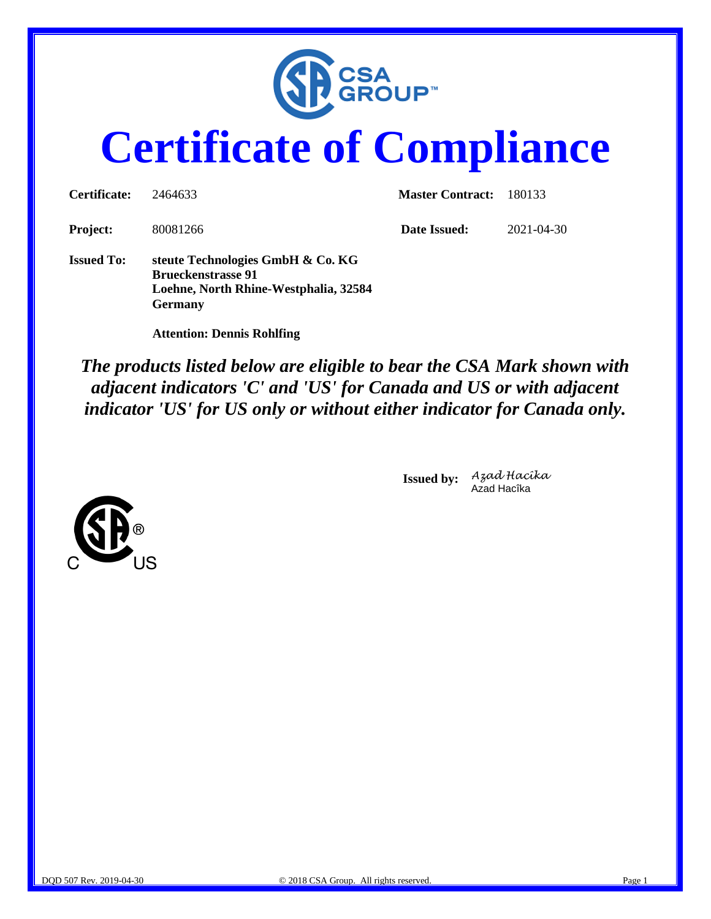

# **Certificate of Compliance**

| Certificate:      | 2464633                                                                                                                   | <b>Master Contract:</b> | 180133     |
|-------------------|---------------------------------------------------------------------------------------------------------------------------|-------------------------|------------|
| <b>Project:</b>   | 80081266                                                                                                                  | Date Issued:            | 2021-04-30 |
| <b>Issued To:</b> | steute Technologies GmbH & Co. KG<br><b>Brueckenstrasse 91</b><br>Loehne, North Rhine-Westphalia, 32584<br><b>Germany</b> |                         |            |

 **Attention: Dennis Rohlfing**

*The products listed below are eligible to bear the CSA Mark shown with adjacent indicators 'C' and 'US' for Canada and US or with adjacent indicator 'US' for US only or without either indicator for Canada only.*

> **Issued by:** *Azad Hacîka* Azad Hacîka

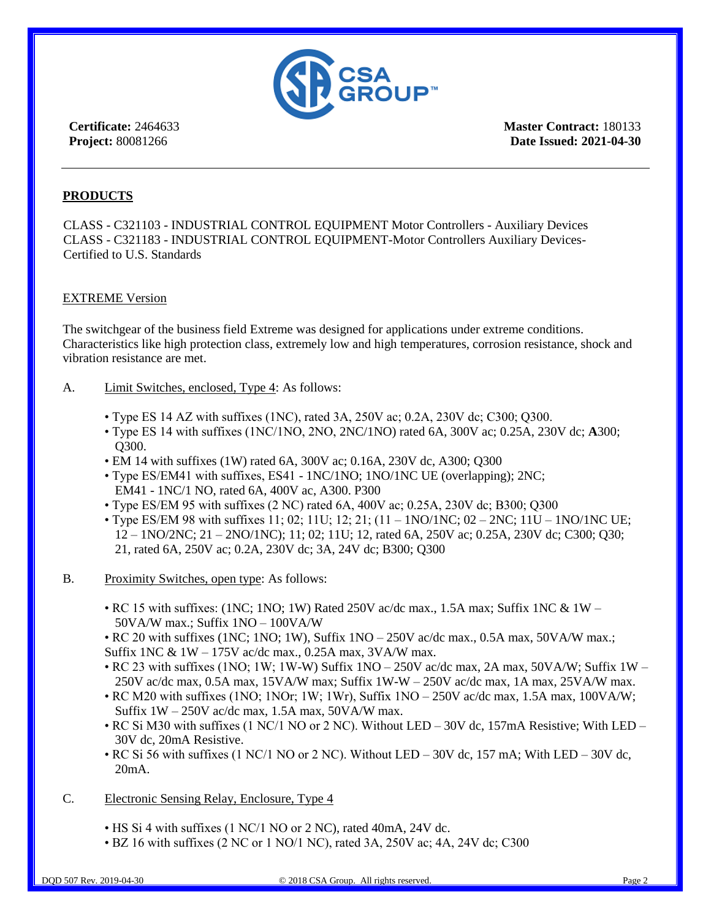

**Master Contract:** 180133 **Date Issued: 2021-04-30**

# **PRODUCTS**

CLASS - C321103 - INDUSTRIAL CONTROL EQUIPMENT Motor Controllers - Auxiliary Devices CLASS - C321183 - INDUSTRIAL CONTROL EQUIPMENT-Motor Controllers Auxiliary Devices-Certified to U.S. Standards

# EXTREME Version

The switchgear of the business field Extreme was designed for applications under extreme conditions. Characteristics like high protection class, extremely low and high temperatures, corrosion resistance, shock and vibration resistance are met.

- A. Limit Switches, enclosed, Type 4: As follows:
	- Type ES 14 AZ with suffixes (1NC), rated 3A, 250V ac; 0.2A, 230V dc; C300; Q300.
	- Type ES 14 with suffixes (1NC/1NO, 2NO, 2NC/1NO) rated 6A, 300V ac; 0.25A, 230V dc; **A**300; Q300.
	- EM 14 with suffixes (1W) rated 6A, 300V ac; 0.16A, 230V dc, A300; Q300
	- Type ES/EM41 with suffixes, ES41 1NC/1NO; 1NO/1NC UE (overlapping); 2NC; EM41 - 1NC/1 NO, rated 6A, 400V ac, A300. P300
	- Type ES/EM 95 with suffixes (2 NC) rated 6A, 400V ac; 0.25A, 230V dc; B300; Q300
	- Type ES/EM 98 with suffixes 11; 02; 11U; 12; 21;  $(11 1NO/1NC; 02 2NC; 11U 1NO/1NC; 0E;$ 12 – 1NO/2NC; 21 – 2NO/1NC); 11; 02; 11U; 12, rated 6A, 250V ac; 0.25A, 230V dc; C300; Q30; 21, rated 6A, 250V ac; 0.2A, 230V dc; 3A, 24V dc; B300; Q300
- B. Proximity Switches, open type: As follows:
	- RC 15 with suffixes: (1NC; 1NO; 1W) Rated 250V ac/dc max., 1.5A max; Suffix 1NC &  $1W -$ 50VA/W max.; Suffix 1NO – 100VA/W

• RC 20 with suffixes (1NC; 1NO; 1W), Suffix 1NO – 250V ac/dc max., 0.5A max, 50VA/W max.; Suffix 1NC & 1W – 175V ac/dc max., 0.25A max, 3VA/W max.

• RC 23 with suffixes (1NO; 1W; 1W-W) Suffix 1NO – 250V ac/dc max, 2A max, 50VA/W; Suffix 1W – 250V ac/dc max, 0.5A max, 15VA/W max; Suffix 1W-W – 250V ac/dc max, 1A max, 25VA/W max.

• RC M20 with suffixes (1NO; 1NOr; 1W; 1Wr), Suffix 1NO – 250V ac/dc max, 1.5A max, 100VA/W; Suffix  $1W - 250V$  ac/dc max, 1.5A max, 50VA/W max.

- RC Si M30 with suffixes (1 NC/1 NO or 2 NC). Without LED 30V dc, 157mA Resistive; With LED 30V dc, 20mA Resistive.
- RC Si 56 with suffixes (1 NC/1 NO or 2 NC). Without LED 30V dc, 157 mA; With LED 30V dc, 20mA.
- C. Electronic Sensing Relay, Enclosure, Type 4
	- HS Si 4 with suffixes (1 NC/1 NO or 2 NC), rated 40mA, 24V dc.
	- BZ 16 with suffixes (2 NC or 1 NO/1 NC), rated 3A, 250V ac; 4A, 24V dc; C300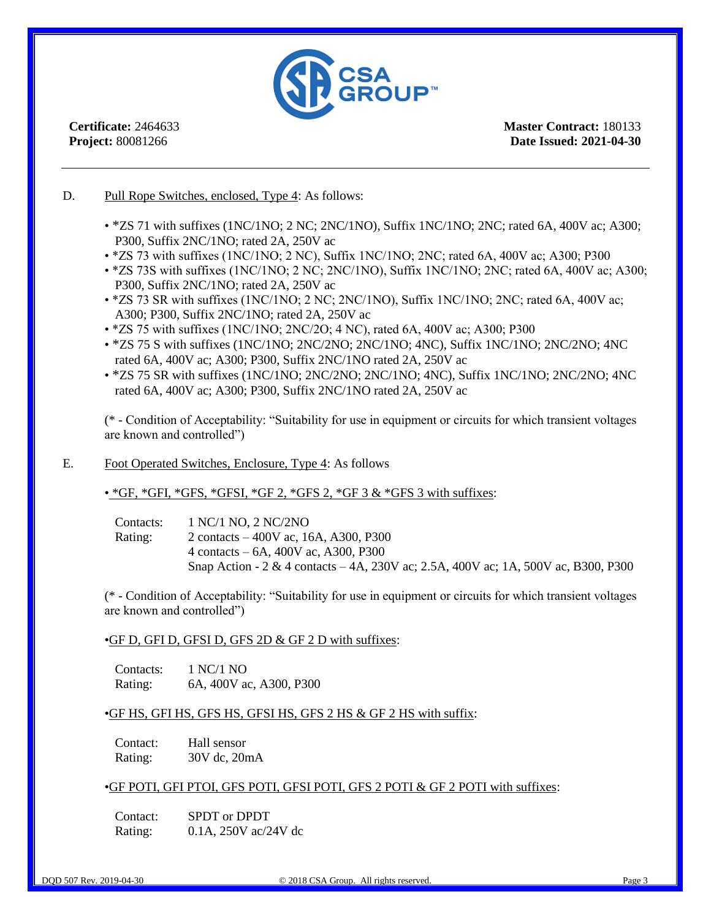

**Master Contract:** 180133 **Date Issued: 2021-04-30**

# D. Pull Rope Switches, enclosed, Type 4: As follows:

- \*ZS 71 with suffixes (1NC/1NO; 2 NC; 2NC/1NO), Suffix 1NC/1NO; 2NC; rated 6A, 400V ac; A300; P300, Suffix 2NC/1NO; rated 2A, 250V ac
- \*ZS 73 with suffixes (1NC/1NO; 2 NC), Suffix 1NC/1NO; 2NC; rated 6A, 400V ac; A300; P300
- \*ZS 73S with suffixes (1NC/1NO; 2 NC; 2NC/1NO), Suffix 1NC/1NO; 2NC; rated 6A, 400V ac; A300; P300, Suffix 2NC/1NO; rated 2A, 250V ac
- \*ZS 73 SR with suffixes (1NC/1NO; 2 NC; 2NC/1NO), Suffix 1NC/1NO; 2NC; rated 6A, 400V ac; A300; P300, Suffix 2NC/1NO; rated 2A, 250V ac
- \*ZS 75 with suffixes (1NC/1NO; 2NC/2O; 4 NC), rated 6A, 400V ac; A300; P300
- \*ZS 75 S with suffixes (1NC/1NO; 2NC/2NO; 2NC/1NO; 4NC), Suffix 1NC/1NO; 2NC/2NO; 4NC rated 6A, 400V ac; A300; P300, Suffix 2NC/1NO rated 2A, 250V ac
- \*ZS 75 SR with suffixes (1NC/1NO; 2NC/2NO; 2NC/1NO; 4NC), Suffix 1NC/1NO; 2NC/2NO; 4NC rated 6A, 400V ac; A300; P300, Suffix 2NC/1NO rated 2A, 250V ac

(\* - Condition of Acceptability: "Suitability for use in equipment or circuits for which transient voltages are known and controlled")

# E. Foot Operated Switches, Enclosure, Type 4: As follows

# • \*GF, \*GFI, \*GFS, \*GFSI, \*GF 2, \*GFS 2, \*GF 3  $\&$  \*GFS 3 with suffixes:

Contacts: 1 NC/1 NO, 2 NC/2NO Rating: 2 contacts – 400V ac, 16A, A300, P300 4 contacts – 6A, 400V ac, A300, P300 Snap Action - 2 & 4 contacts – 4A, 230V ac; 2.5A, 400V ac; 1A, 500V ac, B300, P300

(\* - Condition of Acceptability: "Suitability for use in equipment or circuits for which transient voltages are known and controlled")

#### •GF D, GFI D, GFSI D, GFS 2D & GF 2 D with suffixes:

Contacts: 1 NC/1 NO Rating: 6A, 400V ac, A300, P300

# •GF HS, GFI HS, GFS HS, GFSI HS, GFS 2 HS & GF 2 HS with suffix:

Contact: Hall sensor Rating: 30V dc, 20mA

#### •GF POTI, GFI PTOI, GFS POTI, GFSI POTI, GFS 2 POTI & GF 2 POTI with suffixes:

Contact: SPDT or DPDT Rating: 0.1A, 250V ac/24V dc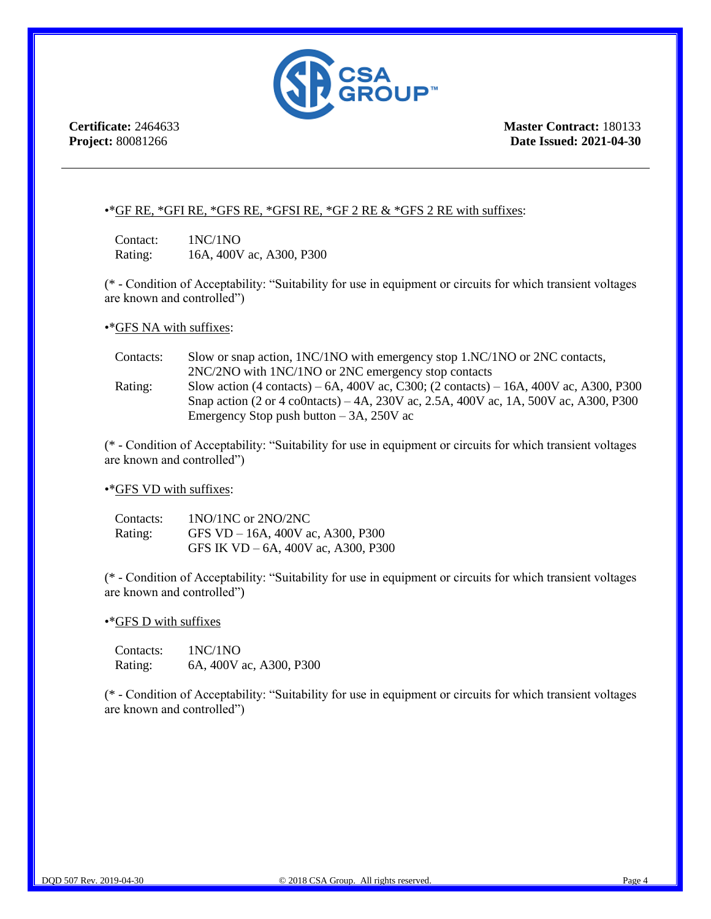

**Master Contract:** 180133 **Date Issued: 2021-04-30**

# •\* GF RE, \* GFI RE, \* GFS RE, \* GFSI RE, \* GF 2 RE  $\&$  \* GFS 2 RE with suffixes:

Contact: 1NC/1NO Rating: 16A, 400V ac, A300, P300

(\* - Condition of Acceptability: "Suitability for use in equipment or circuits for which transient voltages are known and controlled")

•\* GFS NA with suffixes:

| Contacts: | Slow or snap action, 1NC/1NO with emergency stop 1.NC/1NO or 2NC contacts,                                  |
|-----------|-------------------------------------------------------------------------------------------------------------|
|           | 2NC/2NO with 1NC/1NO or 2NC emergency stop contacts                                                         |
| Rating:   | Slow action $(4 \text{ contacts}) - 6A$ , 400V ac, C300; $(2 \text{ contacts}) - 16A$ , 400V ac, A300, P300 |
|           | Snap action (2 or 4 co0ntacts) – 4A, 230V ac, 2.5A, 400V ac, 1A, 500V ac, A300, P300                        |
|           | Emergency Stop push button $-3A$ , 250V ac                                                                  |

(\* - Condition of Acceptability: "Suitability for use in equipment or circuits for which transient voltages are known and controlled")

# •\*GFS VD with suffixes:

| Contacts: | $1NO/1NC$ or $2NO/2NC$                 |
|-----------|----------------------------------------|
| Rating:   | GFS VD $-$ 16A, 400V ac, A300, P300    |
|           | GFS IK $VD - 6A$ , 400V ac, A300, P300 |

(\* - Condition of Acceptability: "Suitability for use in equipment or circuits for which transient voltages are known and controlled")

•\*GFS D with suffixes

Contacts: 1NC/1NO Rating: 6A, 400V ac, A300, P300

(\* - Condition of Acceptability: "Suitability for use in equipment or circuits for which transient voltages are known and controlled")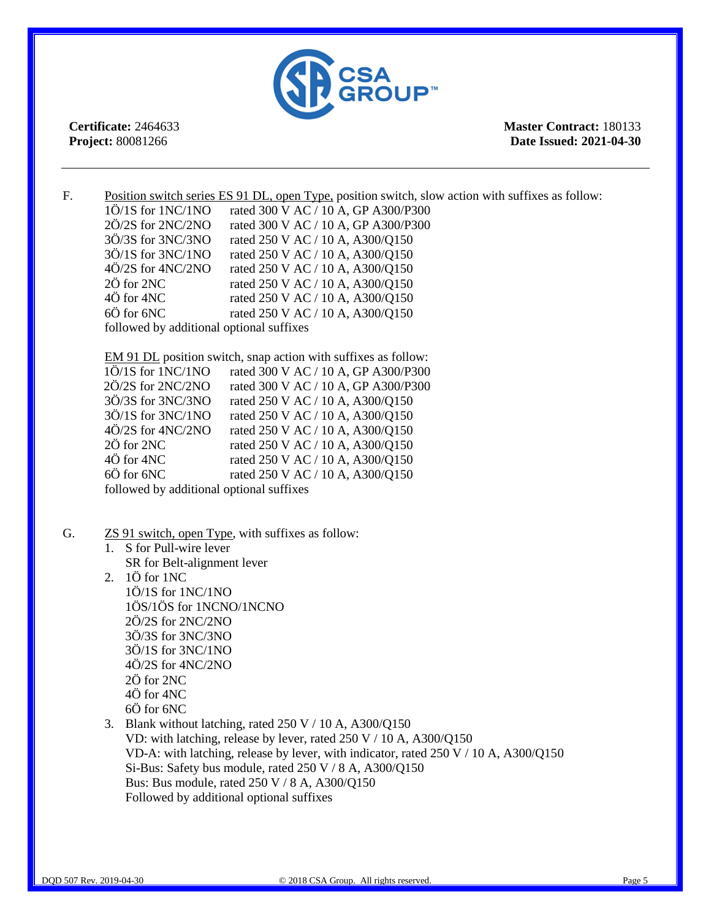

**Master Contract:** 180133 **Date Issued: 2021-04-30**

F. Position switch series ES 91 DL, open Type, position switch, slow action with suffixes as follow: 1Ö/1S for 1NC/1NO rated 300 V AC / 10 A, GP A300/P300 2Ö/2S for 2NC/2NO rated 300 V AC / 10 A, GP A300/P300 3Ö/3S for 3NC/3NO rated 250 V AC / 10 A, A300/Q150 3Ö/1S for 3NC/1NO rated 250 V AC / 10 A, A300/Q150 4Ö/2S for 4NC/2NO rated 250 V AC / 10 A, A300/Q150  $2\ddot{\text{O}}$  for 2NC rated 250 V AC / 10 A, A300/Q150 4Ö for 4NC rated 250 V AC / 10 A, A300/Q150 6Ö for 6NC rated 250 V AC / 10 A, A300/Q150 followed by additional optional suffixes

EM 91 DL position switch, snap action with suffixes as follow: 1Ö/1S for 1NC/1NO rated 300 V AC / 10 A, GP A300/P300 2Ö/2S for 2NC/2NO rated 300 V AC / 10 A, GP A300/P300 3Ö/3S for 3NC/3NO rated 250 V AC / 10 A, A300/Q150 3Ö/1S for 3NC/1NO rated 250 V AC / 10 A, A300/Q150 4Ö/2S for 4NC/2NO rated 250 V AC / 10 A, A300/Q150 2Ö for 2NC rated 250 V AC / 10 A, A300/Q150 4Ö for 4NC rated 250 V AC / 10 A, A300/Q150 6 $\ddot{\text{O}}$  for 6NC rated 250 V AC / 10 A, A300/Q150 followed by additional optional suffixes

- G. **ZS 91 switch, open Type, with suffixes as follow:** 
	- 1. S for Pull-wire lever SR for Belt-alignment lever
	- 2. 1Ö for 1NC 1Ö/1S for 1NC/1NO 1ÖS/1ÖS for 1NCNO/1NCNO 2Ö/2S for 2NC/2NO 3Ö/3S for 3NC/3NO 3Ö/1S for 3NC/1NO 4Ö/2S for 4NC/2NO 2Ö for 2NC 4Ö for 4NC 6Ö for 6NC
	- 3. Blank without latching, rated  $250 \text{ V}$  / 10 A, A300/Q150 VD: with latching, release by lever, rated 250 V / 10 A, A300/Q150 VD-A: with latching, release by lever, with indicator, rated 250 V / 10 A, A300/Q150 Si-Bus: Safety bus module, rated  $250 \text{ V} / 8 \text{ A}$ , A300/O150 Bus: Bus module, rated 250 V / 8 A, A300/Q150 Followed by additional optional suffixes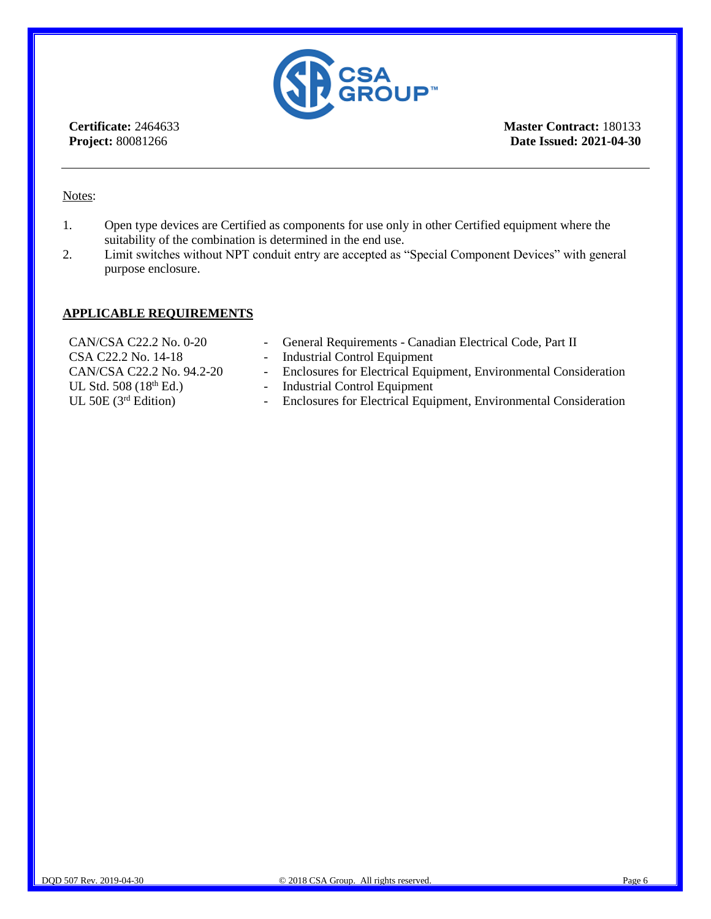

**Master Contract:** 180133 **Date Issued: 2021-04-30**

# Notes:

- 1. Open type devices are Certified as components for use only in other Certified equipment where the suitability of the combination is determined in the end use.
- 2. Limit switches without NPT conduit entry are accepted as "Special Component Devices" with general purpose enclosure.

# **APPLICABLE REQUIREMENTS**

| CAN/CSA C22.2 No. 0-20    | - General Requirements - Canadian Electrical Code, Part II         |
|---------------------------|--------------------------------------------------------------------|
| CSA C22.2 No. 14-18       | - Industrial Control Equipment                                     |
| CAN/CSA C22.2 No. 94.2-20 | - Enclosures for Electrical Equipment, Environmental Consideration |
| UL Std. $508(18th Ed.)$   | - Industrial Control Equipment                                     |
| UL 50E $(3rd Edition)$    | - Enclosures for Electrical Equipment, Environmental Consideration |